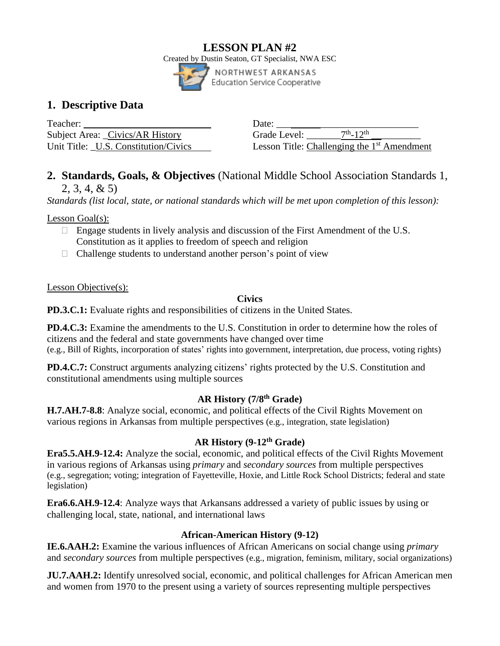### **LESSON PLAN #2** Created by Dustin Seaton, GT Specialist, NWA ESC NORTHWEST ARKANSAS Education Service Cooperative

# **1. Descriptive Data**

Teacher: \_\_\_\_\_\_\_\_\_\_\_\_\_\_\_\_\_\_\_\_\_\_\_\_\_\_ Date: \_\_\_\_\_\_\_\_\_\_\_\_\_\_\_\_\_\_\_\_\_\_\_\_\_\_\_\_\_ Subject Area: Civics/AR History Grade Level: Unit Title: U.S. Constitution/Civics

 $\frac{\text{th}}{12}$ th \_\_\_\_\_\_\_\_\_\_ Lesson Title: Challenging the 1<sup>st</sup> Amendment

# **2. Standards, Goals, & Objectives** (National Middle School Association Standards 1, 2, 3, 4, & 5)

*Standards (list local, state, or national standards which will be met upon completion of this lesson):*

Lesson Goal(s):

- $\Box$  Engage students in lively analysis and discussion of the First Amendment of the U.S. Constitution as it applies to freedom of speech and religion
- $\Box$  Challenge students to understand another person's point of view

Lesson Objective(s):

# **Civics**

**PD.3.C.1:** Evaluate rights and responsibilities of citizens in the United States.

**PD.4.C.3:** Examine the amendments to the U.S. Constitution in order to determine how the roles of citizens and the federal and state governments have changed over time (e.g., Bill of Rights, incorporation of states' rights into government, interpretation, due process, voting rights)

**PD.4.C.7:** Construct arguments analyzing citizens' rights protected by the U.S. Constitution and constitutional amendments using multiple sources

# **AR History (7/8th Grade)**

**H.7.AH.7-8.8**: Analyze social, economic, and political effects of the Civil Rights Movement on various regions in Arkansas from multiple perspectives (e.g., integration, state legislation)

# **AR History (9-12th Grade)**

**Era5.5.AH.9-12.4:** Analyze the social, economic, and political effects of the Civil Rights Movement in various regions of Arkansas using *primary* and *secondary sources* from multiple perspectives (e.g., segregation; voting; integration of Fayetteville, Hoxie, and Little Rock School Districts; federal and state legislation)

**Era6.6.AH.9-12.4**: Analyze ways that Arkansans addressed a variety of public issues by using or challenging local, state, national, and international laws

# **African-American History (9-12)**

**IE.6.AAH.2:** Examine the various influences of African Americans on social change using *primary* and *secondary sources* from multiple perspectives (e.g., migration, feminism, military, social organizations)

**JU.7.AAH.2:** Identify unresolved social, economic, and political challenges for African American men and women from 1970 to the present using a variety of sources representing multiple perspectives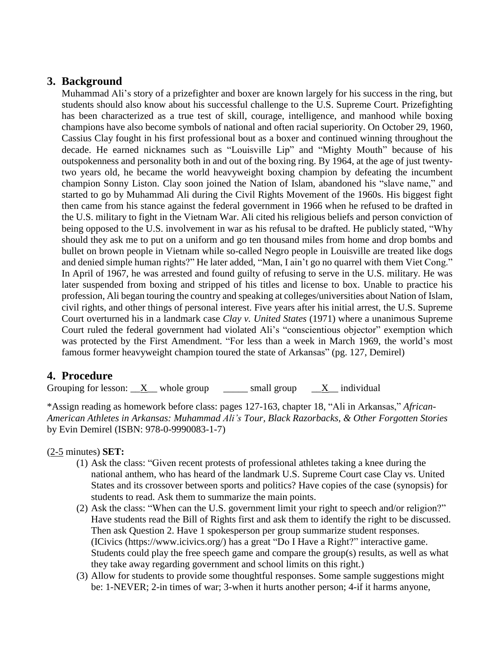# **3. Background**

Muhammad Ali's story of a prizefighter and boxer are known largely for his success in the ring, but students should also know about his successful challenge to the U.S. Supreme Court. Prizefighting has been characterized as a true test of skill, courage, intelligence, and manhood while boxing champions have also become symbols of national and often racial superiority. On October 29, 1960, Cassius Clay fought in his first professional bout as a boxer and continued winning throughout the decade. He earned nicknames such as "Louisville Lip" and "Mighty Mouth" because of his outspokenness and personality both in and out of the boxing ring. By 1964, at the age of just twentytwo years old, he became the world heavyweight boxing champion by defeating the incumbent champion Sonny Liston. Clay soon joined the Nation of Islam, abandoned his "slave name," and started to go by Muhammad Ali during the Civil Rights Movement of the 1960s. His biggest fight then came from his stance against the federal government in 1966 when he refused to be drafted in the U.S. military to fight in the Vietnam War. Ali cited his religious beliefs and person conviction of being opposed to the U.S. involvement in war as his refusal to be drafted. He publicly stated, "Why should they ask me to put on a uniform and go ten thousand miles from home and drop bombs and bullet on brown people in Vietnam while so-called Negro people in Louisville are treated like dogs and denied simple human rights?" He later added, "Man, I ain't go no quarrel with them Viet Cong." In April of 1967, he was arrested and found guilty of refusing to serve in the U.S. military. He was later suspended from boxing and stripped of his titles and license to box. Unable to practice his profession, Ali began touring the country and speaking at colleges/universities about Nation of Islam, civil rights, and other things of personal interest. Five years after his initial arrest, the U.S. Supreme Court overturned his in a landmark case *Clay v. United States* (1971) where a unanimous Supreme Court ruled the federal government had violated Ali's "conscientious objector" exemption which was protected by the First Amendment. "For less than a week in March 1969, the world's most famous former heavyweight champion toured the state of Arkansas" (pg. 127, Demirel)

# **4. Procedure**

Grouping for lesson:  $X$  whole group small group  $X$  individual

\*Assign reading as homework before class: pages 127-163, chapter 18, "Ali in Arkansas," *African-American Athletes in Arkansas: Muhammad Ali's Tour, Black Razorbacks, & Other Forgotten Stories* by Evin Demirel (ISBN: 978-0-9990083-1-7)

### (2-5 minutes) **SET:**

- (1) Ask the class: "Given recent protests of professional athletes taking a knee during the national anthem, who has heard of the landmark U.S. Supreme Court case Clay vs. United States and its crossover between sports and politics? Have copies of the case (synopsis) for students to read. Ask them to summarize the main points.
- (2) Ask the class: "When can the U.S. government limit your right to speech and/or religion?" Have students read the Bill of Rights first and ask them to identify the right to be discussed. Then ask Question 2. Have 1 spokesperson per group summarize student responses. (ICivics [\(https://www.icivics.org/\)](https://www.icivics.org/) has a great "Do I Have a Right?" interactive game. Students could play the free speech game and compare the group(s) results, as well as what they take away regarding government and school limits on this right.)
- (3) Allow for students to provide some thoughtful responses. Some sample suggestions might be: 1-NEVER; 2-in times of war; 3-when it hurts another person; 4-if it harms anyone,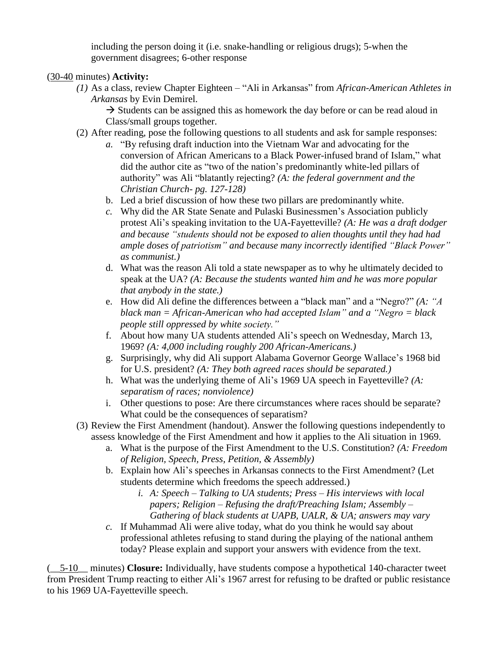including the person doing it (i.e. snake-handling or religious drugs); 5-when the government disagrees; 6-other response

### (30-40 minutes) **Activity:**

*(1)* As a class, review Chapter Eighteen – "Ali in Arkansas" from *African-American Athletes in Arkansas* by Evin Demirel.

 $\rightarrow$  Students can be assigned this as homework the day before or can be read aloud in Class/small groups together.

- (2) After reading, pose the following questions to all students and ask for sample responses:
	- *a.* "By refusing draft induction into the Vietnam War and advocating for the conversion of African Americans to a Black Power-infused brand of Islam," what did the author cite as "two of the nation's predominantly white-led pillars of authority" was Ali "blatantly rejecting? *(A: the federal government and the Christian Church- pg. 127-128)*
	- b. Led a brief discussion of how these two pillars are predominantly white.
	- *c.* Why did the AR State Senate and Pulaski Businessmen's Association publicly protest Ali's speaking invitation to the UA-Fayetteville? *(A: He was a draft dodger and because "students should not be exposed to alien thoughts until they had had ample doses of patriotism" and because many incorrectly identified "Black Power" as communist.)*
	- d. What was the reason Ali told a state newspaper as to why he ultimately decided to speak at the UA? *(A: Because the students wanted him and he was more popular that anybody in the state.)*
	- e. How did Ali define the differences between a "black man" and a "Negro?" *(A: "A black man = African-American who had accepted Islam" and a "Negro = black people still oppressed by white society."*
	- f. About how many UA students attended Ali's speech on Wednesday, March 13, 1969? *(A: 4,000 including roughly 200 African-Americans.)*
	- g. Surprisingly, why did Ali support Alabama Governor George Wallace's 1968 bid for U.S. president? *(A: They both agreed races should be separated.)*
	- h. What was the underlying theme of Ali's 1969 UA speech in Fayetteville? *(A: separatism of races; nonviolence)*
	- i. Other questions to pose: Are there circumstances where races should be separate? What could be the consequences of separatism?
- (3) Review the First Amendment (handout). Answer the following questions independently to assess knowledge of the First Amendment and how it applies to the Ali situation in 1969.
	- a. What is the purpose of the First Amendment to the U.S. Constitution? *(A: Freedom of Religion, Speech, Press, Petition, & Assembly)*
	- b. Explain how Ali's speeches in Arkansas connects to the First Amendment? (Let students determine which freedoms the speech addressed.)
		- *i. A: Speech – Talking to UA students; Press – His interviews with local papers; Religion – Refusing the draft/Preaching Islam; Assembly – Gathering of black students at UAPB, UALR, & UA; answers may vary*
	- *c.* If Muhammad Ali were alive today, what do you think he would say about professional athletes refusing to stand during the playing of the national anthem today? Please explain and support your answers with evidence from the text.

(\_\_5-10\_\_ minutes) **Closure:** Individually, have students compose a hypothetical 140-character tweet from President Trump reacting to either Ali's 1967 arrest for refusing to be drafted or public resistance to his 1969 UA-Fayetteville speech.